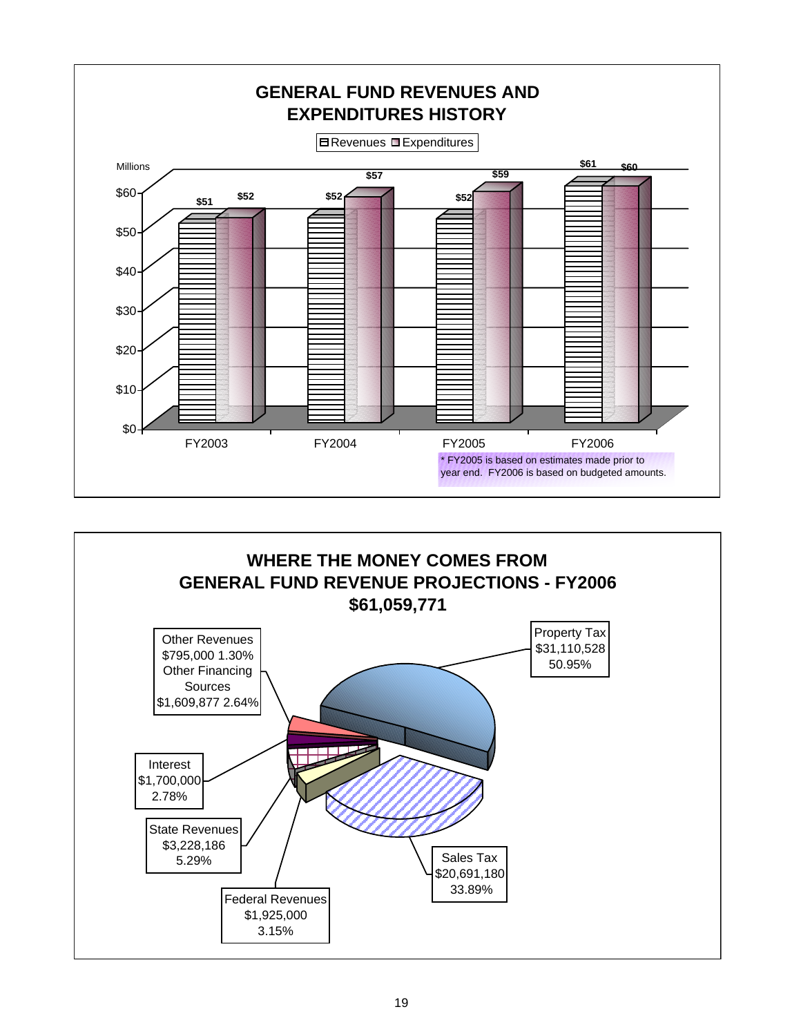

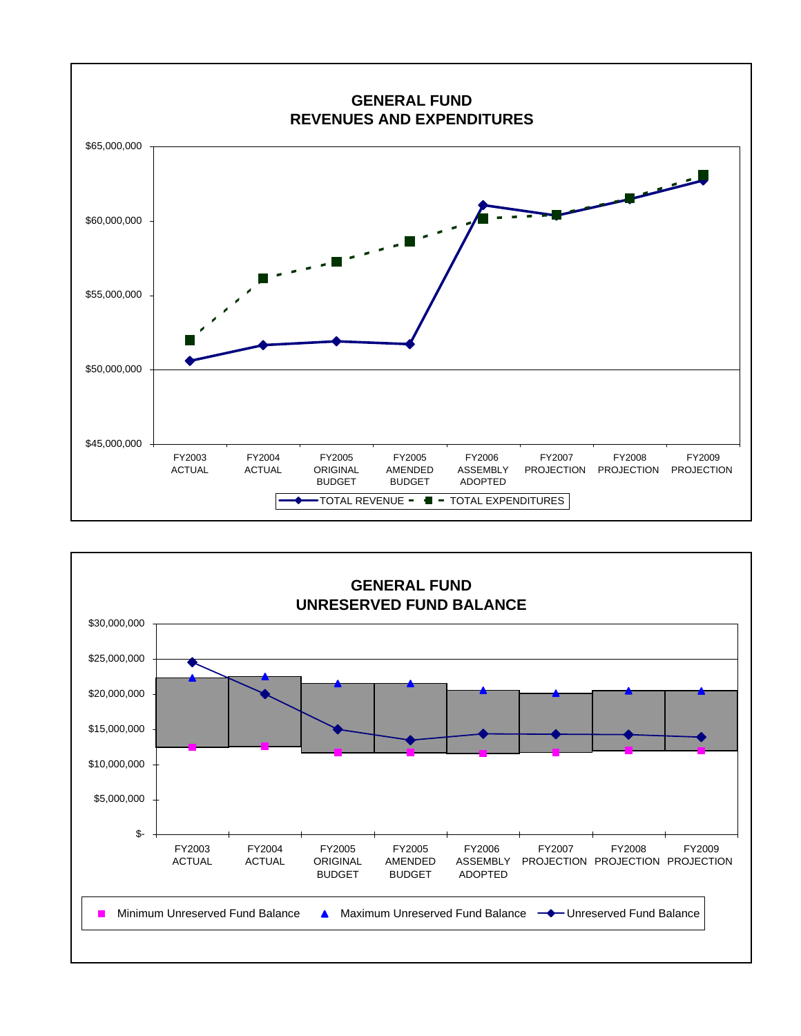

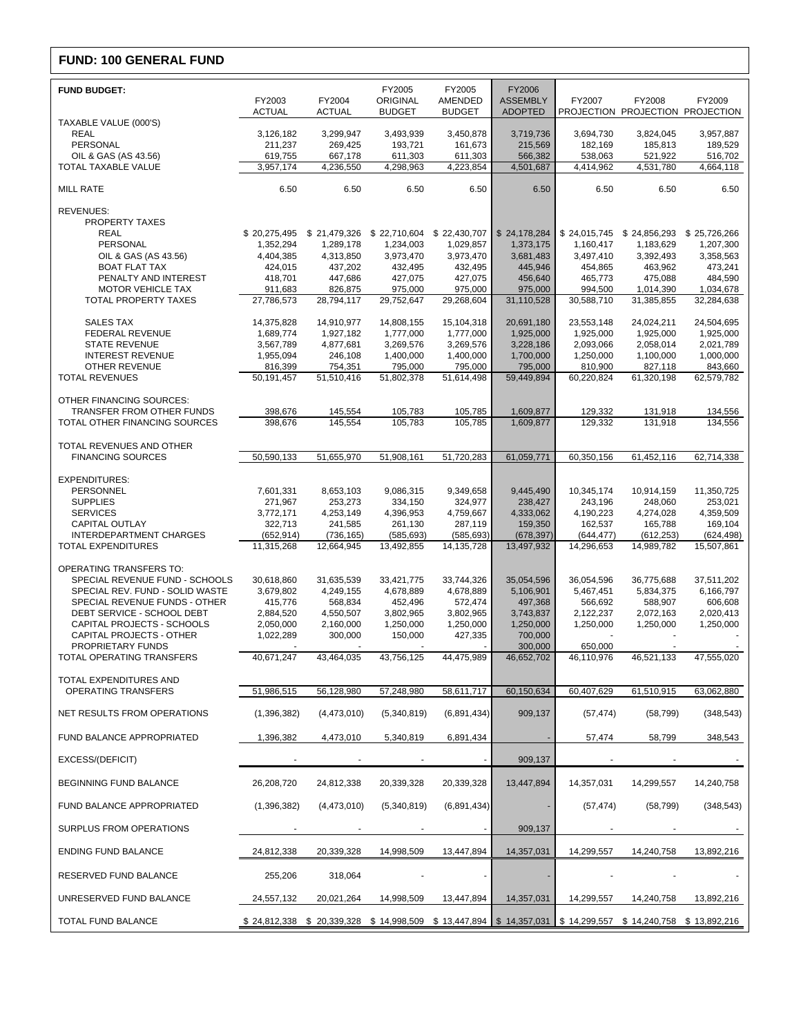# **FUND: 100 GENERAL FUND**

| <b>FUND BUDGET:</b>                                               | FY2003                  | FY2004                                                                                                      | FY2005<br>ORIGINAL      | FY2005<br>AMENDED       | FY2006<br><b>ASSEMBLY</b> | FY2007                  | FY2008                                 | FY2009                  |
|-------------------------------------------------------------------|-------------------------|-------------------------------------------------------------------------------------------------------------|-------------------------|-------------------------|---------------------------|-------------------------|----------------------------------------|-------------------------|
|                                                                   | <b>ACTUAL</b>           | <b>ACTUAL</b>                                                                                               | <b>BUDGET</b>           | <b>BUDGET</b>           | <b>ADOPTED</b>            |                         | PROJECTION PROJECTION PROJECTION       |                         |
| TAXABLE VALUE (000'S)<br><b>REAL</b>                              | 3,126,182               | 3,299,947                                                                                                   | 3,493,939               | 3,450,878               | 3,719,736                 | 3,694,730               | 3,824,045                              | 3,957,887               |
| <b>PERSONAL</b>                                                   | 211,237                 | 269,425                                                                                                     | 193,721                 | 161,673                 | 215,569                   | 182,169                 | 185,813                                | 189,529                 |
| OIL & GAS (AS 43.56)                                              | 619,755                 | 667,178                                                                                                     | 611,303                 | 611,303                 | 566,382                   | 538,063                 | 521,922                                | 516,702                 |
| TOTAL TAXABLE VALUE                                               | 3,957,174               | 4,236,550                                                                                                   | 4,298,963               | 4,223,854               | 4,501,687                 | 4,414,962               | 4,531,780                              | 4,664,118               |
| <b>MILL RATE</b>                                                  | 6.50                    | 6.50                                                                                                        | 6.50                    | 6.50                    | 6.50                      | 6.50                    | 6.50                                   | 6.50                    |
| <b>REVENUES:</b><br>PROPERTY TAXES                                |                         |                                                                                                             |                         |                         |                           |                         |                                        |                         |
| <b>REAL</b>                                                       | \$20,275,495            | \$21,479,326 \$22,710,604 \$22,430,707                                                                      |                         |                         | \$24,178,284              |                         | \$24,015,745 \$24,856,293 \$25,726,266 |                         |
| PERSONAL                                                          | 1,352,294               | 1,289,178                                                                                                   | 1,234,003               | 1,029,857               | 1,373,175                 | 1,160,417               | 1,183,629                              | 1,207,300               |
| OIL & GAS (AS 43.56)                                              | 4,404,385               | 4,313,850                                                                                                   | 3,973,470               | 3,973,470               | 3,681,483                 | 3,497,410               | 3,392,493                              | 3,358,563               |
| <b>BOAT FLAT TAX</b>                                              | 424,015                 | 437,202                                                                                                     | 432,495<br>427,075      | 432,495                 | 445,946                   | 454,865                 | 463,962                                | 473,241                 |
| PENALTY AND INTEREST<br><b>MOTOR VEHICLE TAX</b>                  | 418,701<br>911,683      | 447,686<br>826,875                                                                                          | 975,000                 | 427,075<br>975,000      | 456,640<br>975,000        | 465,773<br>994,500      | 475,088<br>1,014,390                   | 484,590<br>1,034,678    |
| TOTAL PROPERTY TAXES                                              | 27,786,573              | 28,794,117                                                                                                  | 29,752,647              | 29,268,604              | 31,110,528                | 30,588,710              | 31,385,855                             | 32,284,638              |
| <b>SALES TAX</b>                                                  |                         |                                                                                                             |                         |                         |                           |                         |                                        |                         |
| <b>FEDERAL REVENUE</b>                                            | 14,375,828<br>1,689,774 | 14,910,977<br>1,927,182                                                                                     | 14,808,155<br>1,777,000 | 15,104,318<br>1,777,000 | 20,691,180<br>1,925,000   | 23,553,148<br>1,925,000 | 24,024,211<br>1,925,000                | 24,504,695<br>1.925.000 |
| <b>STATE REVENUE</b>                                              | 3,567,789               | 4,877,681                                                                                                   | 3,269,576               | 3,269,576               | 3,228,186                 | 2,093,066               | 2,058,014                              | 2,021,789               |
| <b>INTEREST REVENUE</b>                                           | 1,955,094               | 246,108                                                                                                     | 1,400,000               | 1,400,000               | 1,700,000                 | 1,250,000               | 1,100,000                              | 1,000,000               |
| OTHER REVENUE                                                     | 816,399                 | 754,351                                                                                                     | 795,000                 | 795,000                 | 795,000                   | 810.900                 | 827,118                                | 843,660                 |
| <b>TOTAL REVENUES</b>                                             | 50,191,457              | 51,510,416                                                                                                  | 51,802,378              | 51,614,498              | 59,449,894                | 60,220,824              | 61,320,198                             | 62,579,782              |
| OTHER FINANCING SOURCES:                                          |                         |                                                                                                             |                         |                         |                           |                         |                                        |                         |
| TRANSFER FROM OTHER FUNDS                                         | 398,676                 | 145,554                                                                                                     | 105,783                 | 105,785                 | 1,609,877                 | 129,332                 | 131,918                                | 134,556                 |
| TOTAL OTHER FINANCING SOURCES                                     | 398,676                 | 145,554                                                                                                     | 105,783                 | 105.785                 | 1,609,877                 | 129,332                 | 131,918                                | 134,556                 |
| TOTAL REVENUES AND OTHER                                          |                         |                                                                                                             |                         |                         |                           |                         |                                        |                         |
| <b>FINANCING SOURCES</b>                                          | 50,590,133              | 51,655,970                                                                                                  | 51,908,161              | 51,720,283              | 61,059,771                | 60,350,156              | 61,452,116                             | 62,714,338              |
| <b>EXPENDITURES:</b>                                              |                         |                                                                                                             |                         |                         |                           |                         |                                        |                         |
| PERSONNEL                                                         | 7,601,331               | 8,653,103                                                                                                   | 9,086,315               | 9,349,658               | 9,445,490                 | 10,345,174              | 10,914,159                             | 11,350,725              |
| <b>SUPPLIES</b>                                                   | 271,967                 | 253,273                                                                                                     | 334,150                 | 324,977                 | 238,427                   | 243,196                 | 248,060                                | 253,021                 |
| <b>SERVICES</b>                                                   | 3,772,171               | 4,253,149                                                                                                   | 4,396,953               | 4,759,667               | 4,333,062                 | 4,190,223               | 4,274,028                              | 4,359,509               |
| <b>CAPITAL OUTLAY</b><br>INTERDEPARTMENT CHARGES                  | 322,713<br>(652, 914)   | 241,585<br>(736, 165)                                                                                       | 261,130<br>(585, 693)   | 287,119<br>(585, 693)   | 159,350<br>(678, 397)     | 162,537<br>(644, 477)   | 165,788<br>(612, 253)                  | 169,104<br>(624, 498)   |
| <b>TOTAL EXPENDITURES</b>                                         | 11,315,268              | 12,664,945                                                                                                  | 13,492,855              | 14, 135, 728            | 13,497,932                | 14,296,653              | 14,989,782                             | 15,507,861              |
|                                                                   |                         |                                                                                                             |                         |                         |                           |                         |                                        |                         |
| <b>OPERATING TRANSFERS TO:</b>                                    |                         |                                                                                                             |                         |                         |                           |                         |                                        | 37.511.202              |
| SPECIAL REVENUE FUND - SCHOOLS<br>SPECIAL REV. FUND - SOLID WASTE | 30,618,860<br>3,679,802 | 31,635,539<br>4,249,155                                                                                     | 33,421,775<br>4,678,889 | 33,744,326<br>4,678,889 | 35,054,596<br>5,106,901   | 36,054,596<br>5,467,451 | 36,775,688<br>5,834,375                | 6,166,797               |
| SPECIAL REVENUE FUNDS - OTHER                                     | 415,776                 | 568,834                                                                                                     | 452,496                 | 572,474                 | 497,368                   | 566,692                 | 588,907                                | 606,608                 |
| DEBT SERVICE - SCHOOL DEBT                                        | 2,884,520               | 4,550,507                                                                                                   | 3,802,965               | 3,802,965               | 3,743,837                 | 2,122,237               | 2,072,163                              | 2,020,413               |
| CAPITAL PROJECTS - SCHOOLS                                        | 2,050,000               | 2,160,000                                                                                                   | 1,250,000               | 1,250,000               | 1,250,000                 | 1,250,000               | 1,250,000                              | 1,250,000               |
| CAPITAL PROJECTS - OTHER<br>PROPRIETARY FUNDS                     | 1,022,289               | 300,000                                                                                                     | 150,000                 | 427,335                 | 700,000<br>300,000        | 650,000                 |                                        |                         |
| TOTAL OPERATING TRANSFERS                                         | 40,671,247              | 43,464,035                                                                                                  | 43,756,125              | 44,475,989              | 46,652,702                | 46,110,976              | 46,521,133                             | 47,555,020              |
|                                                                   |                         |                                                                                                             |                         |                         |                           |                         |                                        |                         |
| TOTAL EXPENDITURES AND<br>OPERATING TRANSFERS                     | 51,986,515              | 56,128,980                                                                                                  | 57,248,980              | 58,611,717              | 60,150,634                | 60,407,629              | 61,510,915                             | 63,062,880              |
|                                                                   |                         |                                                                                                             |                         |                         |                           |                         |                                        |                         |
| NET RESULTS FROM OPERATIONS                                       | (1,396,382)             | (4,473,010)                                                                                                 | (5,340,819)             | (6,891,434)             | 909,137                   | (57, 474)               | (58, 799)                              | (348, 543)              |
| FUND BALANCE APPROPRIATED                                         | 1,396,382               | 4,473,010                                                                                                   | 5,340,819               | 6,891,434               |                           | 57,474                  | 58,799                                 | 348,543                 |
| EXCESS/(DEFICIT)                                                  |                         |                                                                                                             |                         |                         | 909,137                   |                         |                                        |                         |
| BEGINNING FUND BALANCE                                            | 26,208,720              | 24,812,338                                                                                                  | 20,339,328              | 20,339,328              | 13,447,894                | 14,357,031              | 14,299,557                             | 14,240,758              |
| FUND BALANCE APPROPRIATED                                         | (1,396,382)             | (4,473,010)                                                                                                 | (5,340,819)             | (6,891,434)             |                           | (57, 474)               | (58, 799)                              | (348, 543)              |
| SURPLUS FROM OPERATIONS                                           |                         |                                                                                                             |                         |                         | 909,137                   |                         |                                        |                         |
| <b>ENDING FUND BALANCE</b>                                        | 24,812,338              | 20,339,328                                                                                                  | 14,998,509              | 13,447,894              | 14,357,031                | 14,299,557              | 14,240,758                             | 13,892,216              |
| RESERVED FUND BALANCE                                             | 255,206                 | 318,064                                                                                                     |                         |                         |                           |                         |                                        |                         |
| UNRESERVED FUND BALANCE                                           | 24,557,132              | 20,021,264                                                                                                  | 14,998,509              | 13,447,894              | 14,357,031                | 14,299,557              | 14,240,758                             | 13,892,216              |
| TOTAL FUND BALANCE                                                |                         | \$24,812,338 \$20,339,328 \$14,998,509 \$13,447,894   \$14,357,031   \$14,299,557 \$14,240,758 \$13,892,216 |                         |                         |                           |                         |                                        |                         |
|                                                                   |                         |                                                                                                             |                         |                         |                           |                         |                                        |                         |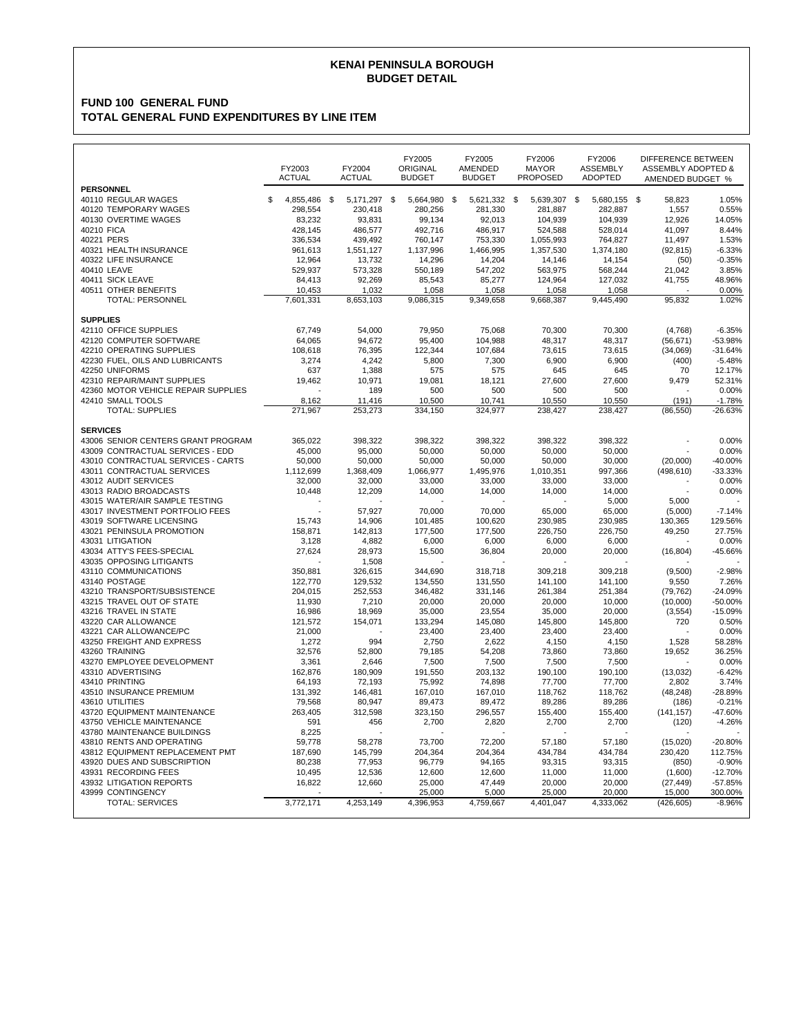### **BUDGET DETAIL KENAI PENINSULA BOROUGH**

### **FUND 100 GENERAL FUND TOTAL GENERAL FUND EXPENDITURES BY LINE ITEM**

|                                     | FY2003<br><b>ACTUAL</b> |              |  |              | <b>ACTUAL</b> |              | FY2005<br>ORIGINAL<br><b>BUDGET</b> | FY2005<br>AMENDED<br><b>BUDGET</b> | FY2006<br><b>MAYOR</b><br><b>PROPOSED</b> | FY2006<br><b>ASSEMBLY</b><br><b>ADOPTED</b> | <b>DIFFERENCE BETWEEN</b><br><b>ASSEMBLY ADOPTED &amp;</b><br>AMENDED BUDGET % |  |
|-------------------------------------|-------------------------|--------------|--|--------------|---------------|--------------|-------------------------------------|------------------------------------|-------------------------------------------|---------------------------------------------|--------------------------------------------------------------------------------|--|
| <b>PERSONNEL</b>                    |                         |              |  |              |               |              |                                     |                                    |                                           |                                             |                                                                                |  |
| 40110 REGULAR WAGES                 | \$                      | 4,855,486 \$ |  | 5,171,297 \$ | 5,664,980 \$  | 5,621,332 \$ | 5,639,307 \$                        | 5,680,155 \$                       | 58,823                                    | 1.05%                                       |                                                                                |  |
| 40120 TEMPORARY WAGES               |                         | 298,554      |  | 230,418      | 280,256       | 281,330      | 281,887                             | 282,887                            | 1,557                                     | 0.55%                                       |                                                                                |  |
| 40130 OVERTIME WAGES                |                         | 83,232       |  | 93.831       | 99,134        | 92,013       | 104,939                             | 104,939                            | 12,926                                    | 14.05%                                      |                                                                                |  |
| 40210 FICA                          |                         | 428,145      |  | 486,577      | 492,716       | 486,917      | 524,588                             | 528,014                            | 41,097                                    | 8.44%                                       |                                                                                |  |
|                                     |                         |              |  |              |               |              |                                     |                                    |                                           |                                             |                                                                                |  |
| 40221 PERS                          |                         | 336,534      |  | 439,492      | 760,147       | 753,330      | 1,055,993                           | 764,827                            | 11,497                                    | 1.53%                                       |                                                                                |  |
| 40321 HEALTH INSURANCE              |                         | 961,613      |  | 1,551,127    | 1,137,996     | 1,466,995    | 1,357,530                           | 1,374,180                          | (92, 815)                                 | $-6.33%$                                    |                                                                                |  |
| 40322 LIFE INSURANCE                |                         | 12,964       |  | 13,732       | 14,296        | 14,204       | 14,146                              | 14,154                             | (50)                                      | $-0.35%$                                    |                                                                                |  |
| 40410 LEAVE                         |                         | 529,937      |  | 573,328      | 550,189       | 547,202      | 563,975                             | 568,244                            | 21,042                                    | 3.85%                                       |                                                                                |  |
| 40411 SICK LEAVE                    |                         | 84,413       |  | 92,269       | 85,543        | 85,277       | 124,964                             | 127,032                            | 41,755                                    | 48.96%                                      |                                                                                |  |
| 40511 OTHER BENEFITS                |                         | 10,453       |  | 1,032        | 1,058         | 1,058        | 1,058                               | 1,058                              |                                           | 0.00%                                       |                                                                                |  |
| <b>TOTAL: PERSONNEL</b>             |                         | 7,601,331    |  | 8,653,103    | 9,086,315     | 9,349,658    | 9,668,387                           | 9,445,490                          | 95,832                                    | 1.02%                                       |                                                                                |  |
|                                     |                         |              |  |              |               |              |                                     |                                    |                                           |                                             |                                                                                |  |
| <b>SUPPLIES</b>                     |                         |              |  |              |               |              |                                     |                                    |                                           |                                             |                                                                                |  |
| 42110 OFFICE SUPPLIES               |                         | 67,749       |  | 54,000       | 79,950        | 75,068       | 70,300                              | 70,300                             | (4,768)                                   | $-6.35%$                                    |                                                                                |  |
| 42120 COMPUTER SOFTWARE             |                         | 64,065       |  | 94,672       | 95,400        | 104,988      | 48,317                              | 48,317                             | (56, 671)                                 | -53.98%                                     |                                                                                |  |
| 42210 OPERATING SUPPLIES            |                         | 108,618      |  | 76,395       | 122,344       | 107,684      | 73,615                              | 73,615                             | (34,069)                                  | $-31.64%$                                   |                                                                                |  |
| 42230 FUEL, OILS AND LUBRICANTS     |                         | 3,274        |  | 4,242        | 5,800         | 7,300        | 6,900                               | 6,900                              | (400)                                     | $-5.48%$                                    |                                                                                |  |
| 42250 UNIFORMS                      |                         | 637          |  | 1,388        | 575           | 575          | 645                                 | 645                                | 70                                        | 12.17%                                      |                                                                                |  |
| 42310 REPAIR/MAINT SUPPLIES         |                         | 19,462       |  | 10,971       | 19,081        | 18,121       | 27,600                              | 27,600                             | 9,479                                     | 52.31%                                      |                                                                                |  |
| 42360 MOTOR VEHICLE REPAIR SUPPLIES |                         |              |  | 189          | 500           | 500          | 500                                 | 500                                |                                           | 0.00%                                       |                                                                                |  |
| 42410 SMALL TOOLS                   |                         | 8,162        |  | 11,416       | 10,500        | 10,741       | 10,550                              | 10,550                             | (191)                                     | $-1.78%$                                    |                                                                                |  |
| <b>TOTAL: SUPPLIES</b>              |                         | 271,967      |  | 253,273      | 334,150       | 324,977      | 238,427                             | 238,427                            | (86, 550)                                 | $-26.63%$                                   |                                                                                |  |
|                                     |                         |              |  |              |               |              |                                     |                                    |                                           |                                             |                                                                                |  |
| <b>SERVICES</b>                     |                         |              |  |              |               |              |                                     |                                    |                                           |                                             |                                                                                |  |
| 43006 SENIOR CENTERS GRANT PROGRAM  |                         | 365,022      |  | 398.322      | 398,322       | 398,322      | 398,322                             | 398,322                            |                                           | 0.00%                                       |                                                                                |  |
| 43009 CONTRACTUAL SERVICES - EDD    |                         | 45,000       |  | 95,000       | 50,000        | 50,000       | 50,000                              | 50,000                             | $\overline{a}$                            | 0.00%                                       |                                                                                |  |
| 43010 CONTRACTUAL SERVICES - CARTS  |                         | 50.000       |  | 50.000       | 50,000        | 50.000       | 50,000                              | 30.000                             | (20,000)                                  | $-40.00%$                                   |                                                                                |  |
| 43011 CONTRACTUAL SERVICES          |                         | 1,112,699    |  | 1,368,409    | 1,066,977     | 1,495,976    | 1,010,351                           | 997,366                            | (498, 610)                                | $-33.33%$                                   |                                                                                |  |
| 43012 AUDIT SERVICES                |                         | 32.000       |  | 32.000       | 33.000        | 33.000       | 33,000                              | 33.000                             |                                           | 0.00%                                       |                                                                                |  |
| 43013 RADIO BROADCASTS              |                         | 10,448       |  | 12,209       | 14,000        | 14,000       | 14,000                              | 14,000                             |                                           | 0.00%                                       |                                                                                |  |
| 43015 WATER/AIR SAMPLE TESTING      |                         |              |  |              |               |              |                                     | 5,000                              | 5,000                                     |                                             |                                                                                |  |
| 43017 INVESTMENT PORTFOLIO FEES     |                         |              |  | 57,927       | 70.000        | 70,000       | 65,000                              | 65,000                             | (5,000)                                   | $-7.14%$                                    |                                                                                |  |
| 43019 SOFTWARE LICENSING            |                         | 15,743       |  | 14,906       | 101,485       | 100,620      | 230,985                             | 230,985                            | 130,365                                   | 129.56%                                     |                                                                                |  |
| 43021 PENINSULA PROMOTION           |                         | 158,871      |  | 142,813      | 177,500       | 177,500      | 226,750                             | 226,750                            | 49,250                                    | 27.75%                                      |                                                                                |  |
| 43031 LITIGATION                    |                         | 3,128        |  | 4,882        | 6,000         | 6,000        | 6,000                               | 6,000                              |                                           | 0.00%                                       |                                                                                |  |
| 43034 ATTY'S FEES-SPECIAL           |                         |              |  |              |               |              |                                     |                                    |                                           | -45.66%                                     |                                                                                |  |
|                                     |                         | 27,624       |  | 28,973       | 15,500        | 36,804       | 20,000                              | 20,000                             | (16, 804)                                 |                                             |                                                                                |  |
| 43035 OPPOSING LITIGANTS            |                         |              |  | 1,508        |               |              |                                     |                                    |                                           |                                             |                                                                                |  |
| 43110 COMMUNICATIONS                |                         | 350.881      |  | 326.615      | 344,690       | 318.718      | 309.218                             | 309.218                            | (9,500)                                   | $-2.98%$                                    |                                                                                |  |
| 43140 POSTAGE                       |                         | 122,770      |  | 129,532      | 134,550       | 131,550      | 141,100                             | 141,100                            | 9,550                                     | 7.26%                                       |                                                                                |  |
| 43210 TRANSPORT/SUBSISTENCE         |                         | 204,015      |  | 252,553      | 346,482       | 331,146      | 261,384                             | 251,384                            | (79, 762)                                 | $-24.09%$                                   |                                                                                |  |
| 43215 TRAVEL OUT OF STATE           |                         | 11,930       |  | 7,210        | 20,000        | 20,000       | 20,000                              | 10,000                             | (10,000)                                  | $-50.00%$                                   |                                                                                |  |
| 43216 TRAVEL IN STATE               |                         | 16,986       |  | 18,969       | 35,000        | 23,554       | 35,000                              | 20,000                             | (3,554)                                   | $-15.09%$                                   |                                                                                |  |
| 43220 CAR ALLOWANCE                 |                         | 121,572      |  | 154,071      | 133,294       | 145,080      | 145,800                             | 145,800                            | 720                                       | 0.50%                                       |                                                                                |  |
| 43221 CAR ALLOWANCE/PC              |                         | 21,000       |  |              | 23,400        | 23,400       | 23,400                              | 23,400                             | $\overline{\phantom{a}}$                  | 0.00%                                       |                                                                                |  |
| 43250 FREIGHT AND EXPRESS           |                         | 1,272        |  | 994          | 2,750         | 2,622        | 4,150                               | 4,150                              | 1,528                                     | 58.28%                                      |                                                                                |  |
| 43260 TRAINING                      |                         | 32,576       |  | 52,800       | 79,185        | 54,208       | 73,860                              | 73,860                             | 19,652                                    | 36.25%                                      |                                                                                |  |
| 43270 EMPLOYEE DEVELOPMENT          |                         | 3,361        |  | 2.646        | 7,500         | 7,500        | 7,500                               | 7,500                              |                                           | 0.00%                                       |                                                                                |  |
| 43310 ADVERTISING                   |                         | 162,876      |  | 180,909      | 191,550       | 203,132      | 190,100                             | 190,100                            | (13,032)                                  | $-6.42%$                                    |                                                                                |  |
| 43410 PRINTING                      |                         | 64,193       |  | 72,193       | 75,992        | 74,898       | 77,700                              | 77,700                             | 2,802                                     | 3.74%                                       |                                                                                |  |
| 43510 INSURANCE PREMIUM             |                         | 131,392      |  | 146,481      | 167,010       | 167,010      | 118,762                             | 118,762                            | (48, 248)                                 | $-28.89%$                                   |                                                                                |  |
| 43610 UTILITIES                     |                         | 79,568       |  | 80,947       | 89,473        | 89,472       | 89,286                              | 89,286                             | (186)                                     | $-0.21%$                                    |                                                                                |  |
| 43720 EQUIPMENT MAINTENANCE         |                         | 263,405      |  | 312,598      | 323,150       | 296,557      | 155,400                             | 155,400                            | (141, 157)                                | -47.60%                                     |                                                                                |  |
| 43750 VEHICLE MAINTENANCE           |                         | 591          |  | 456          | 2,700         | 2,820        | 2,700                               | 2,700                              |                                           | $-4.26%$                                    |                                                                                |  |
|                                     |                         |              |  |              |               |              |                                     |                                    | (120)                                     |                                             |                                                                                |  |
| 43780 MAINTENANCE BUILDINGS         |                         | 8,225        |  |              |               |              |                                     |                                    |                                           |                                             |                                                                                |  |
| 43810 RENTS AND OPERATING           |                         | 59,778       |  | 58,278       | 73,700        | 72,200       | 57,180                              | 57,180                             | (15,020)                                  | $-20.80%$                                   |                                                                                |  |
| 43812 EQUIPMENT REPLACEMENT PMT     |                         | 187,690      |  | 145,799      | 204,364       | 204,364      | 434,784                             | 434,784                            | 230,420                                   | 112.75%                                     |                                                                                |  |
| 43920 DUES AND SUBSCRIPTION         |                         | 80,238       |  | 77,953       | 96,779        | 94,165       | 93,315                              | 93,315                             | (850)                                     | $-0.90%$                                    |                                                                                |  |
| 43931 RECORDING FEES                |                         | 10.495       |  | 12.536       | 12.600        | 12,600       | 11,000                              | 11,000                             | (1,600)                                   | $-12.70%$                                   |                                                                                |  |
| 43932 LITIGATION REPORTS            |                         | 16,822       |  | 12,660       | 25,000        | 47,449       | 20,000                              | 20,000                             | (27, 449)                                 | $-57.85%$                                   |                                                                                |  |
| 43999 CONTINGENCY                   |                         |              |  |              | 25,000        | 5,000        | 25,000                              | 20,000                             | 15,000                                    | 300.00%                                     |                                                                                |  |
| <b>TOTAL: SERVICES</b>              |                         | 3,772,171    |  | 4,253,149    | 4,396,953     | 4,759,667    | 4,401,047                           | 4,333,062                          | (426, 605)                                | $-8.96%$                                    |                                                                                |  |
|                                     |                         |              |  |              |               |              |                                     |                                    |                                           |                                             |                                                                                |  |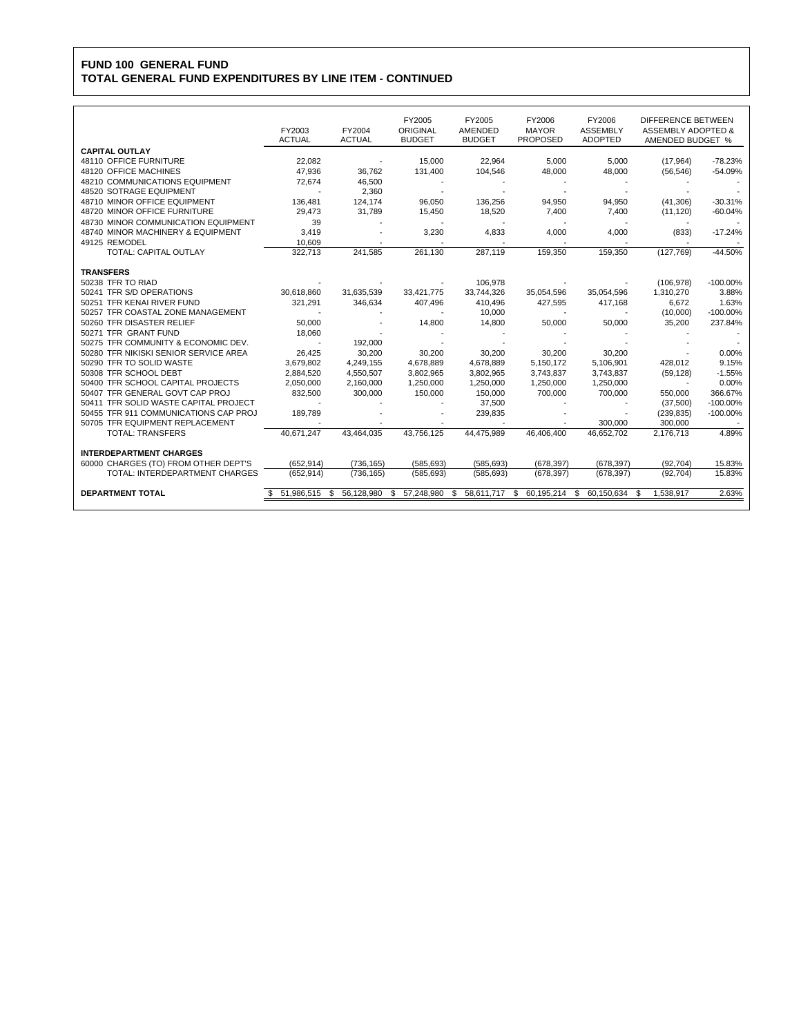## **FUND 100 GENERAL FUND TOTAL GENERAL FUND EXPENDITURES BY LINE ITEM - CONTINUED**

|                                       | FY2003<br><b>ACTUAL</b> | FY2004<br><b>ACTUAL</b> | FY2005<br>ORIGINAL<br><b>BUDGET</b> | FY2005<br>AMENDED<br><b>BUDGET</b> | FY2006<br><b>MAYOR</b><br><b>PROPOSED</b> | FY2006<br><b>ASSEMBLY</b><br><b>ADOPTED</b> | <b>DIFFERENCE BETWEEN</b><br><b>ASSEMBLY ADOPTED &amp;</b><br>AMENDED BUDGET % |             |
|---------------------------------------|-------------------------|-------------------------|-------------------------------------|------------------------------------|-------------------------------------------|---------------------------------------------|--------------------------------------------------------------------------------|-------------|
| <b>CAPITAL OUTLAY</b>                 |                         |                         |                                     |                                    |                                           |                                             |                                                                                |             |
| 48110 OFFICE FURNITURE                | 22,082                  |                         | 15,000                              | 22,964                             | 5,000                                     | 5,000                                       | (17, 964)                                                                      | $-78.23%$   |
| 48120 OFFICE MACHINES                 | 47,936                  | 36,762                  | 131,400                             | 104,546                            | 48,000                                    | 48,000                                      | (56, 546)                                                                      | $-54.09%$   |
| 48210 COMMUNICATIONS EQUIPMENT        | 72,674                  | 46,500                  |                                     |                                    |                                           |                                             |                                                                                |             |
| 48520 SOTRAGE EQUIPMENT               |                         | 2.360                   |                                     |                                    |                                           |                                             |                                                                                |             |
| 48710 MINOR OFFICE EQUIPMENT          | 136.481                 | 124.174                 | 96.050                              | 136.256                            | 94,950                                    | 94.950                                      | (41,306)                                                                       | $-30.31%$   |
| 48720 MINOR OFFICE FURNITURE          | 29.473                  | 31,789                  | 15,450                              | 18,520                             | 7,400                                     | 7,400                                       | (11, 120)                                                                      | $-60.04%$   |
| 48730 MINOR COMMUNICATION EQUIPMENT   | 39                      |                         |                                     |                                    |                                           |                                             |                                                                                |             |
| 48740 MINOR MACHINERY & EQUIPMENT     | 3,419                   |                         | 3.230                               | 4.833                              | 4.000                                     | 4.000                                       | (833)                                                                          | $-17.24%$   |
| 49125 REMODEL                         | 10.609                  |                         |                                     |                                    |                                           |                                             |                                                                                |             |
| <b>TOTAL: CAPITAL OUTLAY</b>          | 322.713                 | 241.585                 | 261.130                             | 287.119                            | 159.350                                   | 159,350                                     | (127.769)                                                                      | $-44.50%$   |
| <b>TRANSFERS</b>                      |                         |                         |                                     |                                    |                                           |                                             |                                                                                |             |
| 50238 TFR TO RIAD                     |                         |                         |                                     | 106,978                            |                                           |                                             | (106, 978)                                                                     | $-100.00\%$ |
| 50241 TFR S/D OPERATIONS              | 30.618.860              | 31,635,539              | 33,421,775                          | 33,744,326                         | 35,054,596                                | 35,054,596                                  | 1,310,270                                                                      | 3.88%       |
| 50251 TFR KENAI RIVER FUND            | 321,291                 | 346.634                 | 407.496                             | 410.496                            | 427.595                                   | 417,168                                     | 6.672                                                                          | 1.63%       |
| 50257 TFR COASTAL ZONE MANAGEMENT     |                         |                         |                                     | 10,000                             |                                           |                                             | (10.000)                                                                       | $-100.00\%$ |
| 50260 TFR DISASTER RELIEF             | 50.000                  |                         | 14.800                              | 14,800                             | 50.000                                    | 50.000                                      | 35.200                                                                         | 237.84%     |
| 50271 TFR GRANT FUND                  | 18.060                  |                         |                                     |                                    |                                           |                                             |                                                                                |             |
| 50275 TFR COMMUNITY & ECONOMIC DEV.   |                         | 192,000                 |                                     |                                    |                                           |                                             |                                                                                |             |
| 50280 TFR NIKISKI SENIOR SERVICE AREA | 26,425                  | 30,200                  | 30.200                              | 30,200                             | 30.200                                    | 30,200                                      |                                                                                | 0.00%       |
| 50290 TFR TO SOLID WASTE              | 3.679.802               | 4.249.155               | 4.678.889                           | 4.678.889                          | 5.150.172                                 | 5,106,901                                   | 428.012                                                                        | 9.15%       |
| 50308 TFR SCHOOL DEBT                 | 2,884,520               | 4,550,507               | 3,802,965                           | 3,802,965                          | 3,743,837                                 | 3,743,837                                   | (59, 128)                                                                      | $-1.55%$    |
| 50400 TFR SCHOOL CAPITAL PROJECTS     | 2.050.000               | 2,160,000               | 1.250.000                           | 1,250,000                          | 1,250,000                                 | 1,250,000                                   | $\overline{\phantom{a}}$                                                       | 0.00%       |
| 50407 TFR GENERAL GOVT CAP PROJ       | 832,500                 | 300,000                 | 150,000                             | 150,000                            | 700.000                                   | 700,000                                     | 550,000                                                                        | 366.67%     |
| 50411 TFR SOLID WASTE CAPITAL PROJECT |                         |                         |                                     | 37,500                             |                                           |                                             | (37,500)                                                                       | $-100.00\%$ |
| 50455 TFR 911 COMMUNICATIONS CAP PROJ | 189,789                 |                         |                                     | 239,835                            |                                           |                                             | (239, 835)                                                                     | $-100.00\%$ |
| 50705 TFR EQUIPMENT REPLACEMENT       |                         |                         |                                     |                                    |                                           | 300,000                                     | 300.000                                                                        |             |
| <b>TOTAL: TRANSFERS</b>               | 40.671.247              | 43,464,035              | 43.756.125                          | 44.475.989                         | 46.406.400                                | 46,652,702                                  | 2,176,713                                                                      | 4.89%       |
| <b>INTERDEPARTMENT CHARGES</b>        |                         |                         |                                     |                                    |                                           |                                             |                                                                                |             |
| 60000 CHARGES (TO) FROM OTHER DEPT'S  | (652, 914)              | (736, 165)              | (585, 693)                          | (585, 693)                         | (678, 397)                                | (678, 397)                                  | (92, 704)                                                                      | 15.83%      |
| TOTAL: INTERDEPARTMENT CHARGES        | (652, 914)              | (736, 165)              | (585, 693)                          | (585, 693)                         | (678, 397)                                | (678, 397)                                  | (92, 704)                                                                      | 15.83%      |
| <b>DEPARTMENT TOTAL</b>               | 51.986.515              | 56,128,980<br>\$        | 57.248.980<br>\$                    | 58.611.717<br>S                    | 60.195.214<br>\$                          | 60.150.634<br>\$                            | 1.538.917<br>S                                                                 | 2.63%       |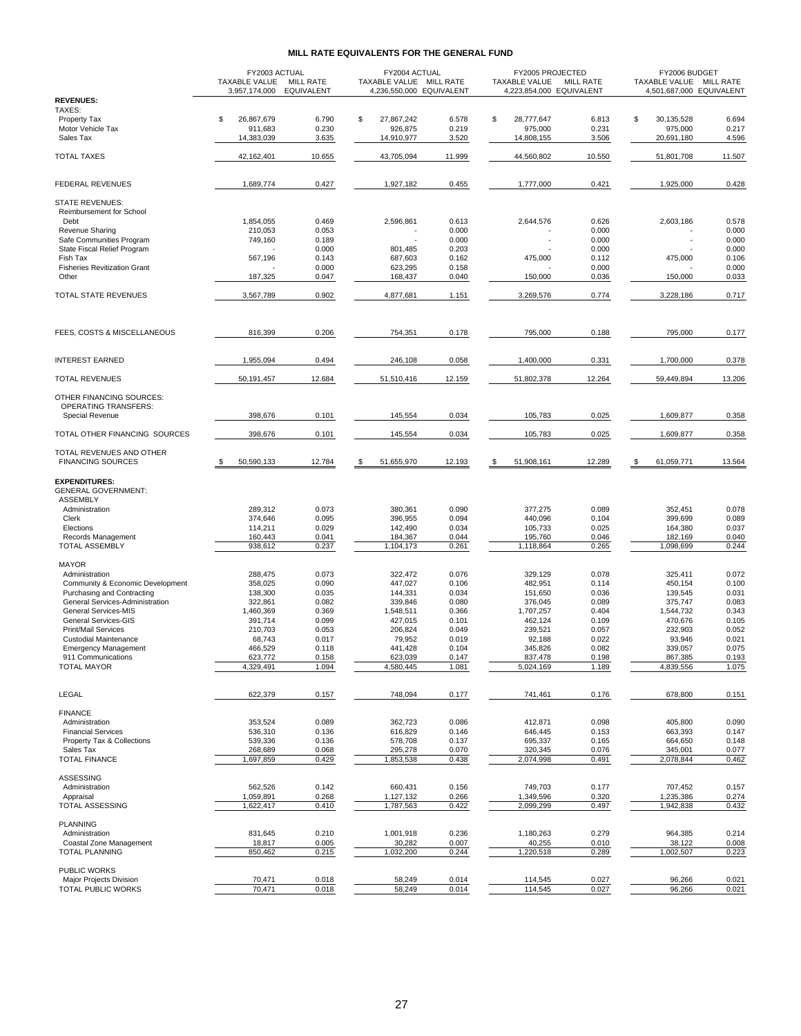#### **MILL RATE EQUIVALENTS FOR THE GENERAL FUND**

|                                                                | FY2003 ACTUAL<br><b>TAXABLE VALUE</b><br><b>MILL RATE</b> |                   | FY2004 ACTUAL<br>TAXABLE VALUE MILL RATE |                | FY2005 PROJECTED<br>TAXABLE VALUE | <b>MILL RATE</b> | FY2006 BUDGET<br>TAXABLE VALUE MILL RATE |                |  |
|----------------------------------------------------------------|-----------------------------------------------------------|-------------------|------------------------------------------|----------------|-----------------------------------|------------------|------------------------------------------|----------------|--|
| <b>REVENUES:</b>                                               | 3,957,174,000                                             | <b>EQUIVALENT</b> | 4,236,550,000 EQUIVALENT                 |                | 4,223,854,000 EQUIVALENT          |                  | 4,501,687,000 EQUIVALENT                 |                |  |
| TAXES:                                                         |                                                           |                   |                                          |                |                                   |                  |                                          |                |  |
| Property Tax<br>Motor Vehicle Tax                              | \$<br>26,867,679                                          | 6.790             | \$<br>27,867,242                         | 6.578          | \$<br>28,777,647                  | 6.813            | \$<br>30,135,528                         | 6.694          |  |
| Sales Tax                                                      | 911,683<br>14,383,039                                     | 0.230<br>3.635    | 926,875<br>14,910,977                    | 0.219<br>3.520 | 975,000<br>14,808,155             | 0.231<br>3.506   | 975,000<br>20,691,180                    | 0.217<br>4.596 |  |
|                                                                |                                                           |                   |                                          |                |                                   |                  |                                          |                |  |
| <b>TOTAL TAXES</b>                                             | 42,162,401                                                | 10.655            | 43,705,094                               | 11.999         | 44,560,802                        | 10.550           | 51,801,708                               | 11.507         |  |
| <b>FEDERAL REVENUES</b>                                        | 1,689,774                                                 | 0.427             | 1,927,182                                | 0.455          | 1,777,000                         | 0.421            | 1,925,000                                | 0.428          |  |
| <b>STATE REVENUES:</b><br>Reimbursement for School             |                                                           |                   |                                          |                |                                   |                  |                                          |                |  |
| Debt                                                           | 1,854,055                                                 | 0.469             | 2,596,861                                | 0.613          | 2,644,576                         | 0.626            | 2.603.186                                | 0.578          |  |
| Revenue Sharing                                                | 210,053                                                   | 0.053             |                                          | 0.000          |                                   | 0.000            |                                          | 0.000          |  |
| Safe Communities Program<br>State Fiscal Relief Program        | 749,160                                                   | 0.189<br>0.000    | 801,485                                  | 0.000<br>0.203 |                                   | 0.000<br>0.000   |                                          | 0.000<br>0.000 |  |
| Fish Tax                                                       | 567,196                                                   | 0.143             | 687,603                                  | 0.162          | 475,000                           | 0.112            | 475,000                                  | 0.106          |  |
| <b>Fisheries Revitization Grant</b>                            |                                                           | 0.000             | 623,295                                  | 0.158          |                                   | 0.000            |                                          | 0.000          |  |
| Other                                                          | 187,325                                                   | 0.047             | 168,437                                  | 0.040          | 150,000                           | 0.036            | 150,000                                  | 0.033          |  |
| TOTAL STATE REVENUES                                           | 3,567,789                                                 | 0.902             | 4,877,681                                | 1.151          | 3,269,576                         | 0.774            | 3,228,186                                | 0.717          |  |
| FEES, COSTS & MISCELLANEOUS                                    | 816,399                                                   | 0.206             | 754,351                                  | 0.178          | 795,000                           | 0.188            | 795,000                                  | 0.177          |  |
| <b>INTEREST EARNED</b>                                         | 1,955,094                                                 | 0.494             | 246,108                                  | 0.058          | 1,400,000                         | 0.331            | 1,700,000                                | 0.378          |  |
|                                                                |                                                           |                   |                                          |                |                                   |                  |                                          |                |  |
| <b>TOTAL REVENUES</b>                                          | 50,191,457                                                | 12.684            | 51,510,416                               | 12.159         | 51,802,378                        | 12.264           | 59,449,894                               | 13.206         |  |
| OTHER FINANCING SOURCES:<br><b>OPERATING TRANSFERS:</b>        |                                                           |                   |                                          |                |                                   |                  |                                          |                |  |
| Special Revenue                                                | 398,676                                                   | 0.101             | 145,554                                  | 0.034          | 105,783                           | 0.025            | 1,609,877                                | 0.358          |  |
| TOTAL OTHER FINANCING SOURCES                                  | 398,676                                                   | 0.101             | 145,554                                  | 0.034          | 105,783                           | 0.025            | 1,609,877                                | 0.358          |  |
| TOTAL REVENUES AND OTHER<br><b>FINANCING SOURCES</b>           | 50,590,133                                                | 12.784            | 51,655,970<br>\$                         | 12.193         | 51,908,161<br>\$                  | 12.289           | 61,059,771<br>-S                         | 13.564         |  |
| <b>EXPENDITURES:</b><br><b>GENERAL GOVERNMENT:</b>             |                                                           |                   |                                          |                |                                   |                  |                                          |                |  |
| <b>ASSEMBLY</b>                                                |                                                           |                   |                                          |                |                                   |                  |                                          |                |  |
| Administration                                                 | 289,312                                                   | 0.073             | 380,361                                  | 0.090          | 377,275                           | 0.089            | 352,451                                  | 0.078          |  |
| Clerk<br>Elections                                             | 374,646<br>114,211                                        | 0.095<br>0.029    | 396,955<br>142,490                       | 0.094<br>0.034 | 440,096<br>105,733                | 0.104<br>0.025   | 399,699<br>164,380                       | 0.089<br>0.037 |  |
| Records Management                                             | 160,443                                                   | 0.041             | 184,367                                  | 0.044          | 195,760                           | 0.046            | 182,169                                  | 0.040          |  |
| <b>TOTAL ASSEMBLY</b>                                          | 938,612                                                   | 0.237             | 1,104,173                                | 0.261          | 1,118,864                         | 0.265            | 1,098,699                                | 0.244          |  |
| <b>MAYOR</b>                                                   |                                                           |                   |                                          |                |                                   |                  |                                          |                |  |
| Administration                                                 | 288,475                                                   | 0.073             | 322,472                                  | 0.076          | 329,129                           | 0.078            | 325,411                                  | 0.072          |  |
| Community & Economic Development<br>Purchasing and Contracting | 358,025<br>138,300                                        | 0.090<br>0.035    | 447,027<br>144,331                       | 0.106<br>0.034 | 482,951<br>151,650                | 0.114<br>0.036   | 450,154<br>139,545                       | 0.100<br>0.031 |  |
| General Services-Administration                                | 322,861                                                   | 0.082             | 339,846                                  | 0.080          | 376,045                           | 0.089            | 375,747                                  | 0.083          |  |
| General Services-MIS                                           | 1,460,369                                                 | 0.369             | 1,548,511                                | 0.366          | 1,707,257                         | 0.404            | 1,544,732                                | 0.343          |  |
| General Services-GIS<br>Print/Mail Services                    | 391,714<br>210,703                                        | 0.099<br>0.053    | 427,015<br>206.824                       | 0.101<br>0.049 | 462,124<br>239,521                | 0.109<br>0.057   | 470,676<br>232,903                       | 0.105<br>0.052 |  |
| <b>Custodial Maintenance</b>                                   | 68,743                                                    | 0.017             | 79,952                                   | 0.019          | 92,188                            | 0.022            | 93,946                                   | 0.021          |  |
| <b>Emergency Management</b>                                    | 466,529                                                   | 0.118             | 441,428                                  | 0.104          | 345,826                           | 0.082            | 339,057                                  | 0.075          |  |
| 911 Communications<br><b>TOTAL MAYOR</b>                       | 623,772<br>4,329,491                                      | 0.158<br>1.094    | 623,039<br>4,580,445                     | 0.147<br>1.081 | 837,478<br>5,024,169              | 0.198<br>1.189   | 867,385                                  | 0.193<br>1.075 |  |
|                                                                |                                                           |                   |                                          |                |                                   |                  | 4,839,556                                |                |  |
| LEGAL                                                          | 622,379                                                   | 0.157             | 748,094                                  | 0.177          | 741,461                           | 0.176            | 678,800                                  | 0.151          |  |
| <b>FINANCE</b>                                                 |                                                           |                   |                                          |                |                                   |                  |                                          |                |  |
| Administration<br><b>Financial Services</b>                    | 353,524<br>536,310                                        | 0.089<br>0.136    | 362,723<br>616,829                       | 0.086<br>0.146 | 412,871<br>646,445                | 0.098<br>0.153   | 405,800<br>663,393                       | 0.090<br>0.147 |  |
| Property Tax & Collections                                     | 539,336                                                   | 0.136             | 578,708                                  | 0.137          | 695,337                           | 0.165            | 664,650                                  | 0.148          |  |
| Sales Tax                                                      | 268,689                                                   | 0.068             | 295,278                                  | 0.070          | 320,345                           | 0.076            | 345,001                                  | 0.077          |  |
| <b>TOTAL FINANCE</b>                                           | 1,697,859                                                 | 0.429             | 1,853,538                                | 0.438          | 2,074,998                         | 0.491            | 2,078,844                                | 0.462          |  |
| ASSESSING<br>Administration                                    | 562,526                                                   | 0.142             | 660,431                                  | 0.156          | 749,703                           | 0.177            | 707,452                                  | 0.157          |  |
| Appraisal                                                      | 1,059,891                                                 | 0.268             | 1,127,132                                | 0.266          | 1,349,596                         | 0.320            | 1,235,386                                | 0.274          |  |
| TOTAL ASSESSING                                                | 1,622,417                                                 | 0.410             | 1,787,563                                | 0.422          | 2,099,299                         | 0.497            | 1,942,838                                | 0.432          |  |
| <b>PLANNING</b><br>Administration                              | 831,645                                                   | 0.210             | 1,001,918                                | 0.236          | 1,180,263                         | 0.279            | 964,385                                  | 0.214          |  |
| Coastal Zone Management                                        | 18,817                                                    | 0.005             | 30,282                                   | 0.007          | 40,255                            | 0.010            | 38,122                                   | 0.008          |  |
| <b>TOTAL PLANNING</b>                                          | 850,462                                                   | 0.215             | 1,032,200                                | 0.244          | 1,220,518                         | 0.289            | 1,002,507                                | 0.223          |  |
| PUBLIC WORKS<br>Major Projects Division                        | 70,471                                                    | 0.018             | 58,249                                   | 0.014          | 114,545                           | 0.027            | 96,266                                   | 0.021          |  |
| TOTAL PUBLIC WORKS                                             | 70,471                                                    | 0.018             | 58,249                                   | 0.014          | 114,545                           | 0.027            | 96,266                                   | 0.021          |  |